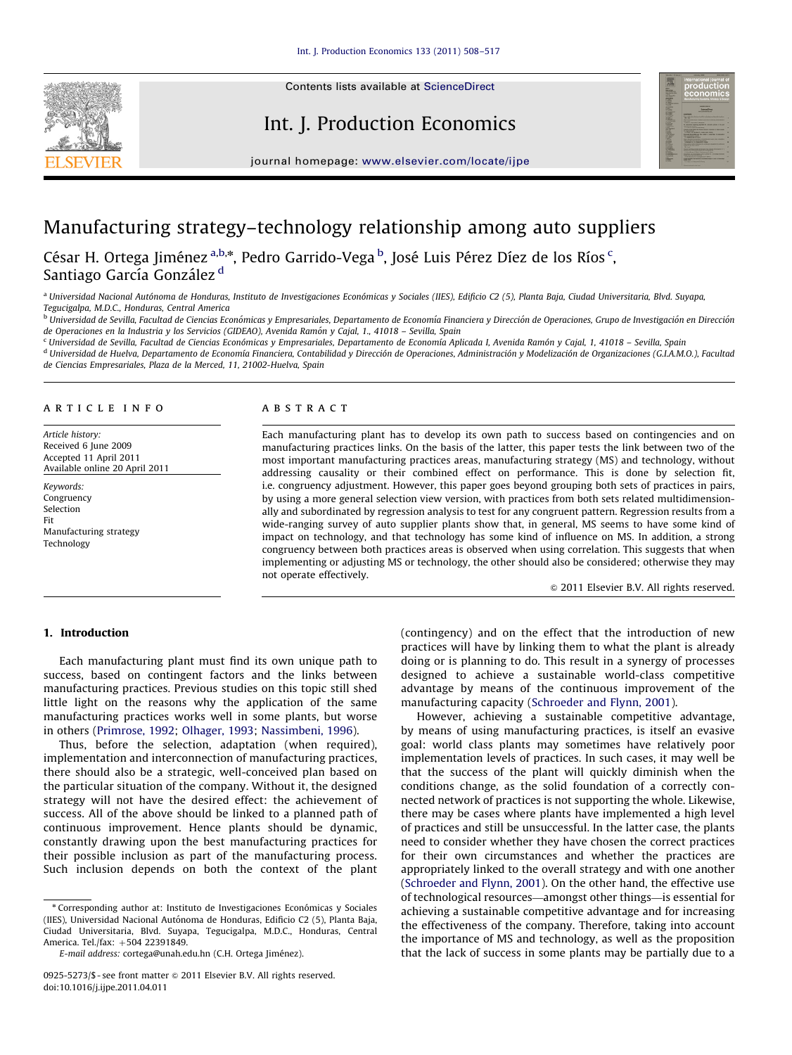Contents lists available at ScienceDirect

Int. J. Production Economics



journal homepage: <www.elsevier.com/locate/ijpe>

## Manufacturing strategy–technology relationship among auto suppliers

César H. Ortega Jiménez <sup>a,b,</sup>\*, Pedro Garrido-Vega <sup>b</sup>, José Luis Pérez Díez de los Ríos <sup>c</sup>, Santiago García González<sup>d</sup>

<sup>a</sup> Universidad Nacional Autónoma de Honduras, Instituto de Investigaciones Económicas y Sociales (IIES), Edificio C2 (5), Planta Baja, Ciudad Universitaria, Blvd. Suyapa, Tegucigalpa, M.D.C., Honduras, Central America

<sup>b</sup> Universidad de Sevilla, Facultad de Ciencias Económicas y Empresariales, Departamento de Economía Financiera y Dirección de Operaciones, Grupo de Investigación en Dirección de Operaciones en la Industria y los Servicios (GIDEAO), Avenida Ramón y Cajal, 1., 41018 - Sevilla, Spain

<sup>c</sup> Universidad de Sevilla, Facultad de Ciencias Económicas y Empresariales, Departamento de Economía Aplicada I, Avenida Ramón y Cajal, 1, 41018 - Sevilla, Spain

<sup>d</sup> Universidad de Huelva, Departamento de Economía Financiera, Contabilidad y Dirección de Operaciones, Administración y Modelización de Organizaciones (G.I.A.M.O.), Facultad de Ciencias Empresariales, Plaza de la Merced, 11, 21002-Huelva, Spain

#### article info

Article history: Received 6 June 2009 Accepted 11 April 2011 Available online 20 April 2011

Keywords: Congruency Selection Fit Manufacturing strategy Technology

#### **ABSTRACT**

Each manufacturing plant has to develop its own path to success based on contingencies and on manufacturing practices links. On the basis of the latter, this paper tests the link between two of the most important manufacturing practices areas, manufacturing strategy (MS) and technology, without addressing causality or their combined effect on performance. This is done by selection fit, i.e. congruency adjustment. However, this paper goes beyond grouping both sets of practices in pairs, by using a more general selection view version, with practices from both sets related multidimensionally and subordinated by regression analysis to test for any congruent pattern. Regression results from a wide-ranging survey of auto supplier plants show that, in general, MS seems to have some kind of impact on technology, and that technology has some kind of influence on MS. In addition, a strong congruency between both practices areas is observed when using correlation. This suggests that when implementing or adjusting MS or technology, the other should also be considered; otherwise they may not operate effectively.

 $\odot$  2011 Elsevier B.V. All rights reserved.

## 1. Introduction

Each manufacturing plant must find its own unique path to success, based on contingent factors and the links between manufacturing practices. Previous studies on this topic still shed little light on the reasons why the application of the same manufacturing practices works well in some plants, but worse in others [\(Primrose, 1992](#page--1-0); [Olhager, 1993;](#page--1-0) [Nassimbeni, 1996](#page--1-0)).

Thus, before the selection, adaptation (when required), implementation and interconnection of manufacturing practices, there should also be a strategic, well-conceived plan based on the particular situation of the company. Without it, the designed strategy will not have the desired effect: the achievement of success. All of the above should be linked to a planned path of continuous improvement. Hence plants should be dynamic, constantly drawing upon the best manufacturing practices for their possible inclusion as part of the manufacturing process. Such inclusion depends on both the context of the plant (contingency) and on the effect that the introduction of new practices will have by linking them to what the plant is already doing or is planning to do. This result in a synergy of processes designed to achieve a sustainable world-class competitive advantage by means of the continuous improvement of the manufacturing capacity [\(Schroeder and Flynn, 2001\)](#page--1-0).

However, achieving a sustainable competitive advantage, by means of using manufacturing practices, is itself an evasive goal: world class plants may sometimes have relatively poor implementation levels of practices. In such cases, it may well be that the success of the plant will quickly diminish when the conditions change, as the solid foundation of a correctly connected network of practices is not supporting the whole. Likewise, there may be cases where plants have implemented a high level of practices and still be unsuccessful. In the latter case, the plants need to consider whether they have chosen the correct practices for their own circumstances and whether the practices are appropriately linked to the overall strategy and with one another ([Schroeder and Flynn, 2001](#page--1-0)). On the other hand, the effective use of technological resources—amongst other things—is essential for achieving a sustainable competitive advantage and for increasing the effectiveness of the company. Therefore, taking into account the importance of MS and technology, as well as the proposition that the lack of success in some plants may be partially due to a

<sup>n</sup> Corresponding author at: Instituto de Investigaciones Econo´micas y Sociales (IIES), Universidad Nacional Autónoma de Honduras, Edificio C2 (5), Planta Baja, Ciudad Universitaria, Blvd. Suyapa, Tegucigalpa, M.D.C., Honduras, Central America. Tel./fax: +504 22391849.

E-mail address: cortega@unah.edu.hn (C.H. Ortega Jiménez).

<sup>0925-5273/\$ -</sup> see front matter @ 2011 Elsevier B.V. All rights reserved. doi:[10.1016/j.ijpe.2011.04.011](dx.doi.org/10.1016/j.ijpe.2011.04.011)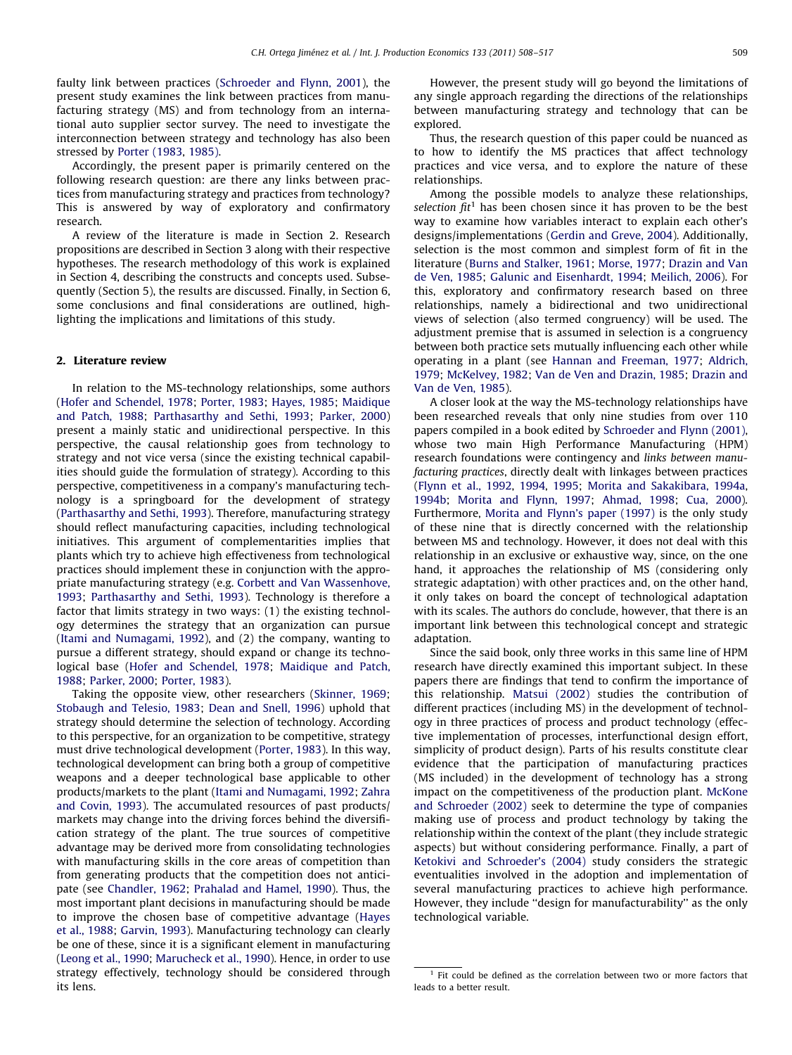faulty link between practices [\(Schroeder and Flynn, 2001](#page--1-0)), the present study examines the link between practices from manufacturing strategy (MS) and from technology from an international auto supplier sector survey. The need to investigate the interconnection between strategy and technology has also been stressed by [Porter \(1983](#page--1-0), [1985\)](#page--1-0).

Accordingly, the present paper is primarily centered on the following research question: are there any links between practices from manufacturing strategy and practices from technology? This is answered by way of exploratory and confirmatory research.

A review of the literature is made in Section 2. Research propositions are described in Section 3 along with their respective hypotheses. The research methodology of this work is explained in Section 4, describing the constructs and concepts used. Subsequently (Section 5), the results are discussed. Finally, in Section 6, some conclusions and final considerations are outlined, highlighting the implications and limitations of this study.

### 2. Literature review

In relation to the MS-technology relationships, some authors ([Hofer and Schendel, 1978](#page--1-0); [Porter, 1983;](#page--1-0) [Hayes, 1985;](#page--1-0) [Maidique](#page--1-0) [and Patch, 1988](#page--1-0); [Parthasarthy and Sethi, 1993;](#page--1-0) [Parker, 2000\)](#page--1-0) present a mainly static and unidirectional perspective. In this perspective, the causal relationship goes from technology to strategy and not vice versa (since the existing technical capabilities should guide the formulation of strategy). According to this perspective, competitiveness in a company's manufacturing technology is a springboard for the development of strategy ([Parthasarthy and Sethi, 1993\)](#page--1-0). Therefore, manufacturing strategy should reflect manufacturing capacities, including technological initiatives. This argument of complementarities implies that plants which try to achieve high effectiveness from technological practices should implement these in conjunction with the appropriate manufacturing strategy (e.g. [Corbett and Van Wassenhove,](#page--1-0) [1993;](#page--1-0) [Parthasarthy and Sethi, 1993\)](#page--1-0). Technology is therefore a factor that limits strategy in two ways: (1) the existing technology determines the strategy that an organization can pursue ([Itami and Numagami, 1992\)](#page--1-0), and (2) the company, wanting to pursue a different strategy, should expand or change its technological base [\(Hofer and Schendel, 1978;](#page--1-0) [Maidique and Patch,](#page--1-0) [1988;](#page--1-0) [Parker, 2000;](#page--1-0) [Porter, 1983](#page--1-0)).

Taking the opposite view, other researchers [\(Skinner, 1969;](#page--1-0) [Stobaugh and Telesio, 1983;](#page--1-0) [Dean and Snell, 1996](#page--1-0)) uphold that strategy should determine the selection of technology. According to this perspective, for an organization to be competitive, strategy must drive technological development [\(Porter, 1983\)](#page--1-0). In this way, technological development can bring both a group of competitive weapons and a deeper technological base applicable to other products/markets to the plant [\(Itami and Numagami, 1992;](#page--1-0) [Zahra](#page--1-0) [and Covin, 1993\)](#page--1-0). The accumulated resources of past products/ markets may change into the driving forces behind the diversification strategy of the plant. The true sources of competitive advantage may be derived more from consolidating technologies with manufacturing skills in the core areas of competition than from generating products that the competition does not anticipate (see [Chandler, 1962;](#page--1-0) [Prahalad and Hamel, 1990](#page--1-0)). Thus, the most important plant decisions in manufacturing should be made to improve the chosen base of competitive advantage [\(Hayes](#page--1-0) [et al., 1988](#page--1-0); [Garvin, 1993](#page--1-0)). Manufacturing technology can clearly be one of these, since it is a significant element in manufacturing ([Leong et al., 1990](#page--1-0); [Marucheck et al., 1990](#page--1-0)). Hence, in order to use strategy effectively, technology should be considered through its lens.

However, the present study will go beyond the limitations of any single approach regarding the directions of the relationships between manufacturing strategy and technology that can be explored.

Thus, the research question of this paper could be nuanced as to how to identify the MS practices that affect technology practices and vice versa, and to explore the nature of these relationships.

Among the possible models to analyze these relationships, selection  $fit<sup>1</sup>$  has been chosen since it has proven to be the best way to examine how variables interact to explain each other's designs/implementations [\(Gerdin and Greve, 2004\)](#page--1-0). Additionally, selection is the most common and simplest form of fit in the literature [\(Burns and Stalker, 1961;](#page--1-0) [Morse, 1977;](#page--1-0) [Drazin and Van](#page--1-0) [de Ven, 1985;](#page--1-0) [Galunic and Eisenhardt, 1994;](#page--1-0) [Meilich, 2006](#page--1-0)). For this, exploratory and confirmatory research based on three relationships, namely a bidirectional and two unidirectional views of selection (also termed congruency) will be used. The adjustment premise that is assumed in selection is a congruency between both practice sets mutually influencing each other while operating in a plant (see [Hannan and Freeman, 1977;](#page--1-0) [Aldrich,](#page--1-0) [1979;](#page--1-0) [McKelvey, 1982](#page--1-0); [Van de Ven and Drazin, 1985](#page--1-0); [Drazin and](#page--1-0) [Van de Ven, 1985\)](#page--1-0).

A closer look at the way the MS-technology relationships have been researched reveals that only nine studies from over 110 papers compiled in a book edited by [Schroeder and Flynn \(2001\),](#page--1-0) whose two main High Performance Manufacturing (HPM) research foundations were contingency and links between manufacturing practices, directly dealt with linkages between practices ([Flynn et al., 1992](#page--1-0), [1994](#page--1-0), [1995](#page--1-0); [Morita and Sakakibara, 1994a,](#page--1-0) [1994b;](#page--1-0) [Morita and Flynn, 1997](#page--1-0); [Ahmad, 1998;](#page--1-0) [Cua, 2000\)](#page--1-0). Furthermore, [Morita and Flynn's paper \(1997\)](#page--1-0) is the only study of these nine that is directly concerned with the relationship between MS and technology. However, it does not deal with this relationship in an exclusive or exhaustive way, since, on the one hand, it approaches the relationship of MS (considering only strategic adaptation) with other practices and, on the other hand, it only takes on board the concept of technological adaptation with its scales. The authors do conclude, however, that there is an important link between this technological concept and strategic adaptation.

Since the said book, only three works in this same line of HPM research have directly examined this important subject. In these papers there are findings that tend to confirm the importance of this relationship. [Matsui \(2002\)](#page--1-0) studies the contribution of different practices (including MS) in the development of technology in three practices of process and product technology (effective implementation of processes, interfunctional design effort, simplicity of product design). Parts of his results constitute clear evidence that the participation of manufacturing practices (MS included) in the development of technology has a strong impact on the competitiveness of the production plant. [McKone](#page--1-0) [and Schroeder \(2002\)](#page--1-0) seek to determine the type of companies making use of process and product technology by taking the relationship within the context of the plant (they include strategic aspects) but without considering performance. Finally, a part of [Ketokivi and Schroeder's \(2004\)](#page--1-0) study considers the strategic eventualities involved in the adoption and implementation of several manufacturing practices to achieve high performance. However, they include ''design for manufacturability'' as the only technological variable.

 $1$  Fit could be defined as the correlation between two or more factors that leads to a better result.